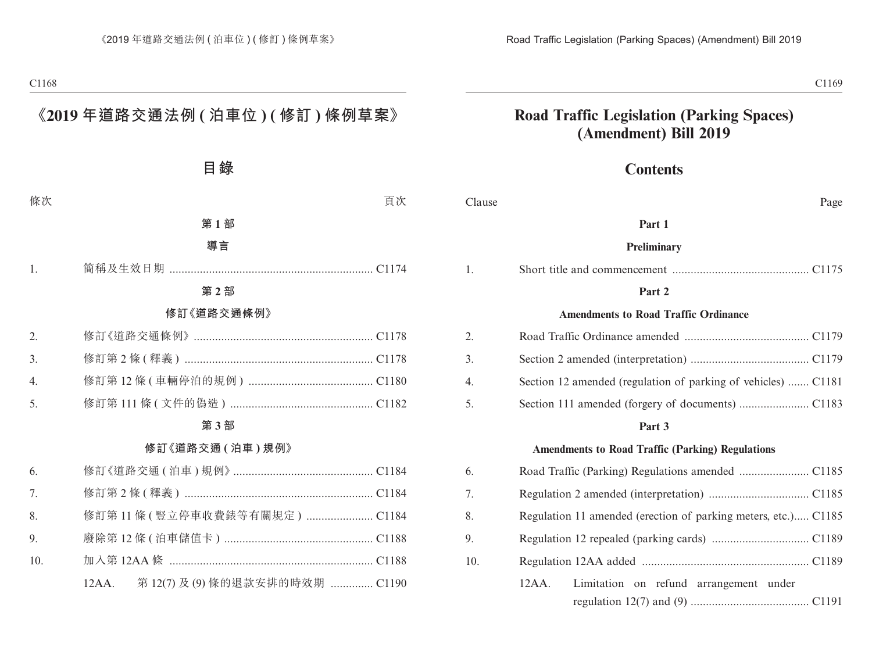# **Road Traffic Legislation (Parking Spaces) (Amendment) Bill 2019**

# **Contents**

| Clause           | Page                                                           |  |
|------------------|----------------------------------------------------------------|--|
|                  | Part 1                                                         |  |
|                  | Preliminary                                                    |  |
| 1.               |                                                                |  |
|                  | Part 2                                                         |  |
|                  | <b>Amendments to Road Traffic Ordinance</b>                    |  |
| 2.               |                                                                |  |
| 3.               |                                                                |  |
| $\overline{4}$ . | Section 12 amended (regulation of parking of vehicles)  C1181  |  |
| 5.               |                                                                |  |
|                  | Part 3                                                         |  |
|                  | <b>Amendments to Road Traffic (Parking) Regulations</b>        |  |
| 6.               |                                                                |  |
| 7.               |                                                                |  |
| 8.               | Regulation 11 amended (erection of parking meters, etc.) C1185 |  |
| 9.               |                                                                |  |
| 10.              |                                                                |  |
|                  | $12AA$ .<br>Limitation on refund arrangement under             |  |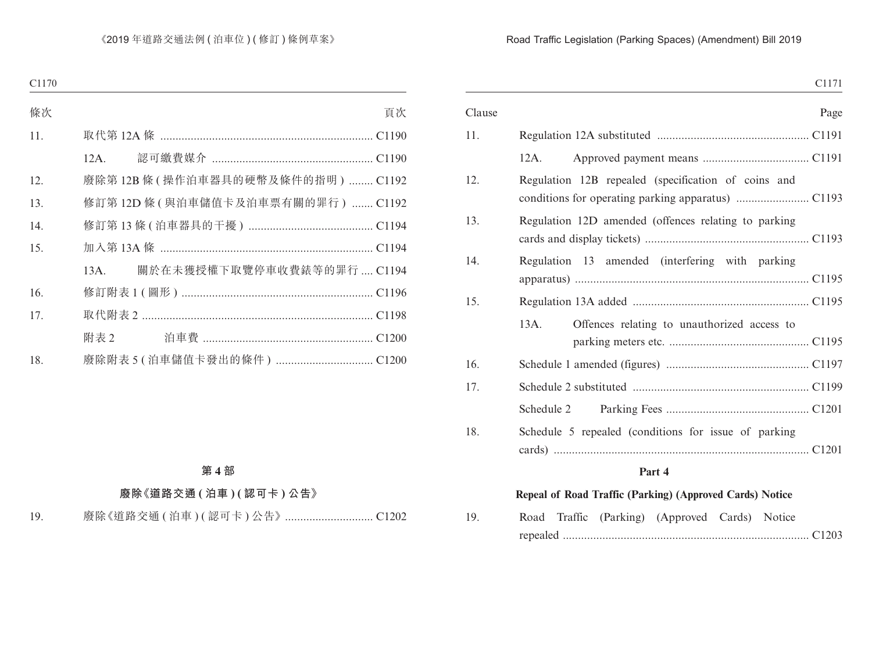### Road Traffic Legislation (Parking Spaces) (Amendment) Bill 2019

|        |                                                          | C1171 |
|--------|----------------------------------------------------------|-------|
| Clause |                                                          | Page  |
| 11.    |                                                          |       |
|        | 12A.                                                     |       |
| 12.    | Regulation 12B repealed (specification of coins and      |       |
| 13.    | Regulation 12D amended (offences relating to parking     |       |
| 14.    | Regulation 13 amended (interfering with parking          |       |
| 15.    |                                                          |       |
|        | Offences relating to unauthorized access to<br>13A.      |       |
| 16.    |                                                          |       |
| 17.    |                                                          |       |
|        | Schedule 2                                               |       |
| 18.    | Schedule 5 repealed (conditions for issue of parking     |       |
|        | Part 4                                                   |       |
|        | Repeal of Road Traffic (Parking) (Approved Cards) Notice |       |
| 19.    | Road Traffic (Parking) (Approved Cards) Notice           |       |

repealed ................................................................................. C1203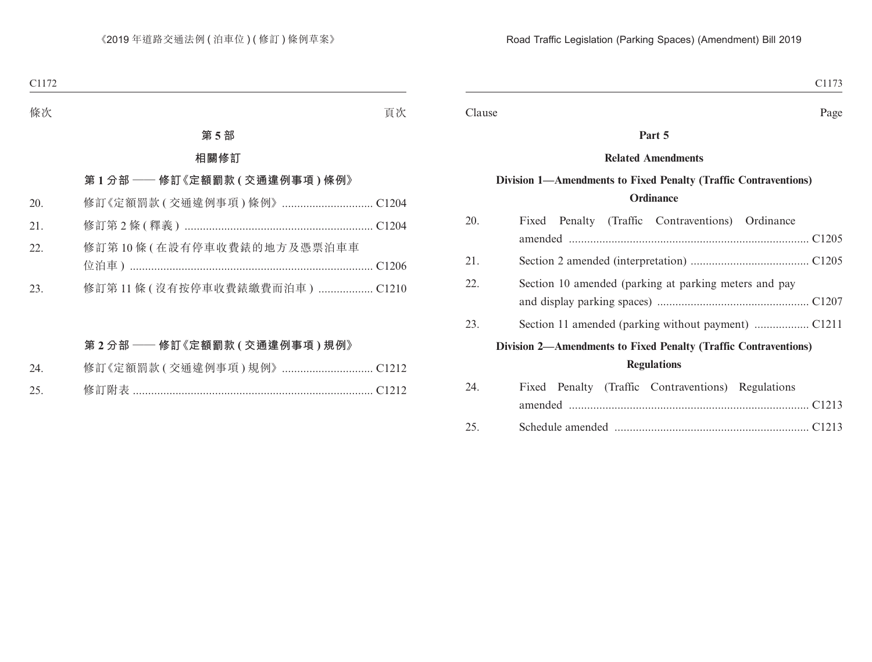Clause Page

#### **Part 5**

#### **Related Amendments**

# **Division 1—Amendments to Fixed Penalty (Traffic Contraventions) Ordinance**

| 20.                                                             | Fixed Penalty (Traffic Contraventions) Ordinance      |  |  |
|-----------------------------------------------------------------|-------------------------------------------------------|--|--|
|                                                                 |                                                       |  |  |
| 21.                                                             |                                                       |  |  |
| 22.                                                             | Section 10 amended (parking at parking meters and pay |  |  |
|                                                                 |                                                       |  |  |
| 23.                                                             |                                                       |  |  |
| Division 2—Amendments to Fixed Penalty (Traffic Contraventions) |                                                       |  |  |
|                                                                 | <b>Regulations</b>                                    |  |  |
| 24.                                                             | Fixed Penalty (Traffic Contraventions) Regulations    |  |  |
|                                                                 |                                                       |  |  |
| 25.                                                             |                                                       |  |  |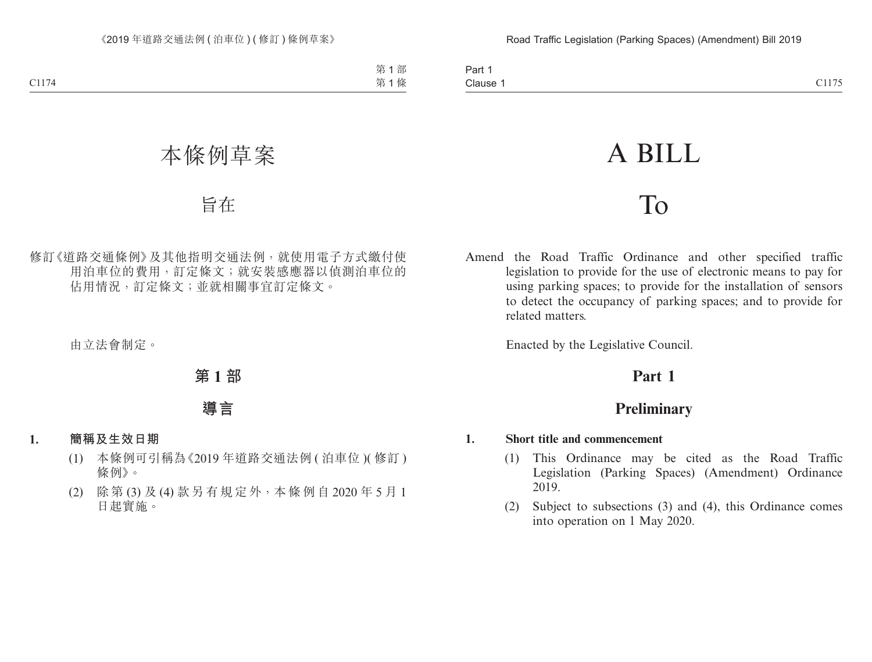# A BILL

# To

Amend the Road Traffic Ordinance and other specified traffic legislation to provide for the use of electronic means to pay for using parking spaces; to provide for the installation of sensors to detect the occupancy of parking spaces; and to provide for related matters.

Enacted by the Legislative Council.

# **Part 1**

# **Preliminary**

## **1. Short title and commencement**

- (1) This Ordinance may be cited as the Road Traffic Legislation (Parking Spaces) (Amendment) Ordinance 2019.
- (2) Subject to subsections (3) and (4), this Ordinance comes into operation on 1 May 2020.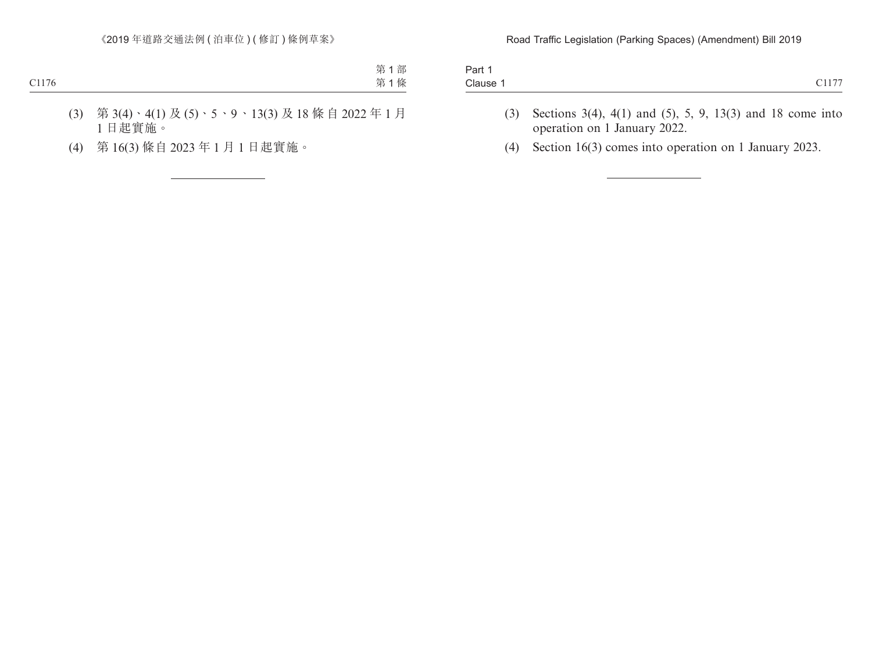| Part                     |                             |
|--------------------------|-----------------------------|
|                          |                             |
| $\overline{\phantom{0}}$ | $\sim$ $\sim$ $\sim$ $\sim$ |
|                          |                             |
| Clause 1                 |                             |

- (3) Sections 3(4), 4(1) and (5), 5, 9, 13(3) and 18 come into operation on 1 January 2022.
- (4) Section 16(3) comes into operation on 1 January 2023.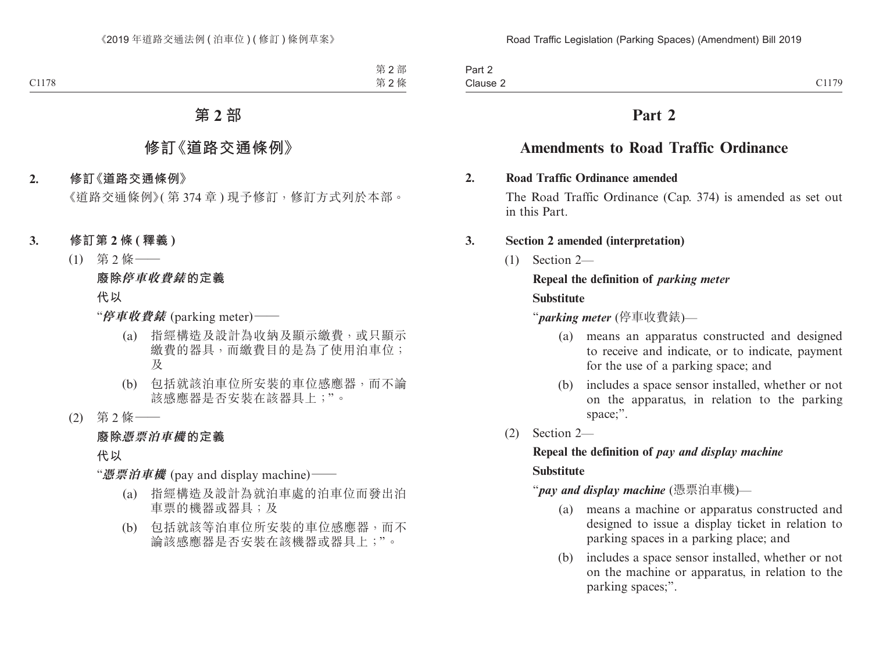| Part 2   |                                                   |
|----------|---------------------------------------------------|
| Clause 2 | $\bigcap$ 1.70<br>$\overline{1}$<br><b>CIII</b> ) |

# **Part 2**

# **Amendments to Road Traffic Ordinance**

#### **2. Road Traffic Ordinance amended**

The Road Traffic Ordinance (Cap. 374) is amended as set out in this Part.

#### **3. Section 2 amended (interpretation)**

(1) Section 2—

### **Repeal the definition of** *parking meter*

#### **Substitute**

"*parking meter* (停車收費錶)—

- (a) means an apparatus constructed and designed to receive and indicate, or to indicate, payment for the use of a parking space; and
- (b) includes a space sensor installed, whether or not on the apparatus, in relation to the parking space;".
- (2) Section 2—

# **Repeal the definition of** *pay and display machine*

#### **Substitute**

"*pay and display machine* (憑票泊車機)—

- (a) means a machine or apparatus constructed and designed to issue a display ticket in relation to parking spaces in a parking place; and
- (b) includes a space sensor installed, whether or not on the machine or apparatus, in relation to the parking spaces;".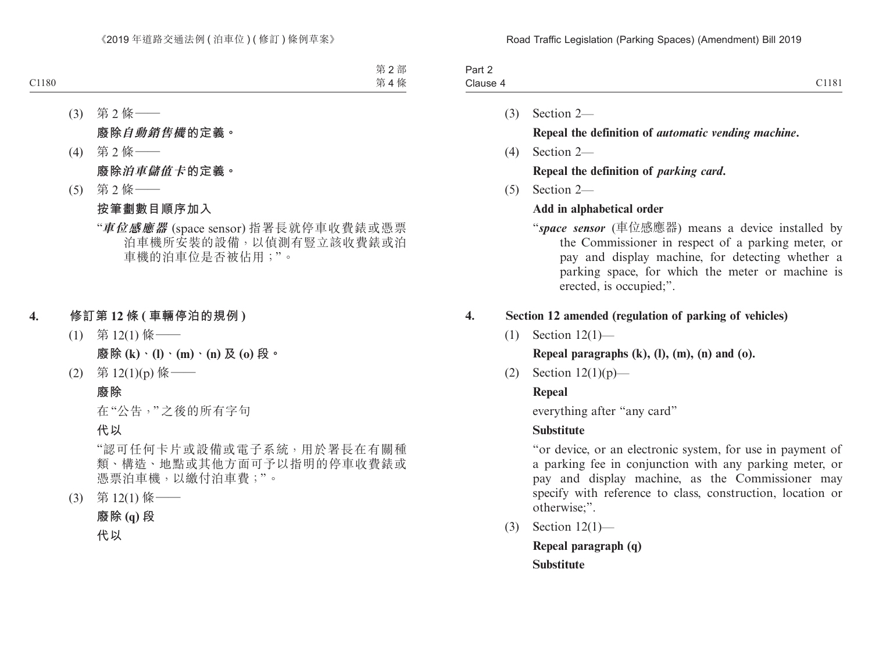(1) Section 12(1)—

**Repeal paragraphs (k), (l), (m), (n) and (o).**

(2) Section  $12(1)(p)$ —

## **Repeal**

everything after "any card"

## **Substitute**

"or device, or an electronic system, for use in payment of a parking fee in conjunction with any parking meter, or pay and display machine, as the Commissioner may specify with reference to class, construction, location or otherwise;".

(3) Section 12(1)—

**Repeal paragraph (q) Substitute**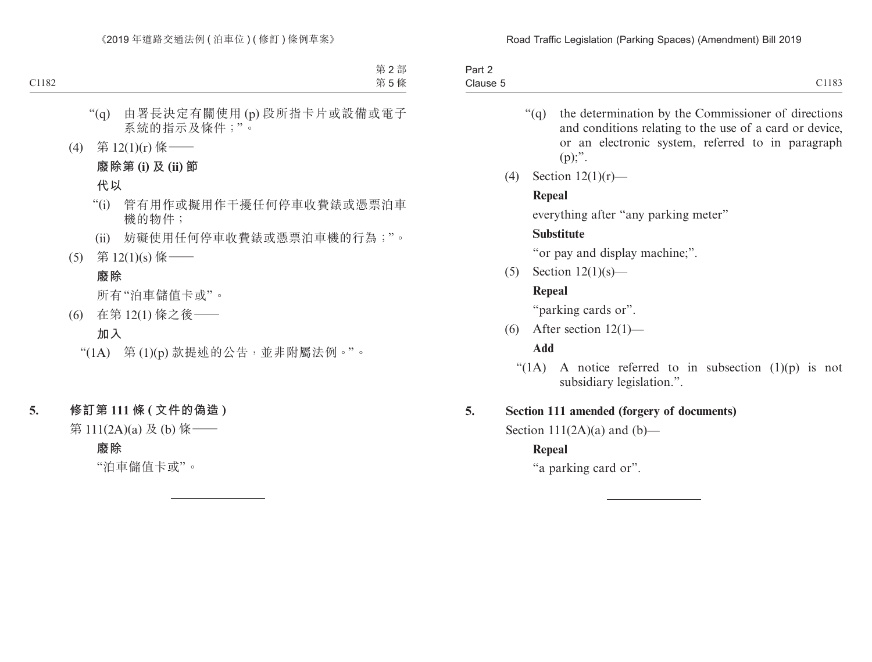| Part 2              |       |
|---------------------|-------|
| Clause 5<br>_______ | C1183 |

- "(q) the determination by the Commissioner of directions and conditions relating to the use of a card or device, or an electronic system, referred to in paragraph  $(p)$ ;".
- (4) Section 12(1)(r)—

#### **Repeal**

everything after "any parking meter"

#### **Substitute**

"or pay and display machine;".

(5) Section 12(1)(s)—

#### **Repeal**

"parking cards or".

(6) After section  $12(1)$ —

#### **Add**

"(1A) A notice referred to in subsection  $(1)(p)$  is not subsidiary legislation.".

#### **5. Section 111 amended (forgery of documents)**

Section  $111(2A)(a)$  and  $(b)$ —

#### **Repeal**

"a parking card or".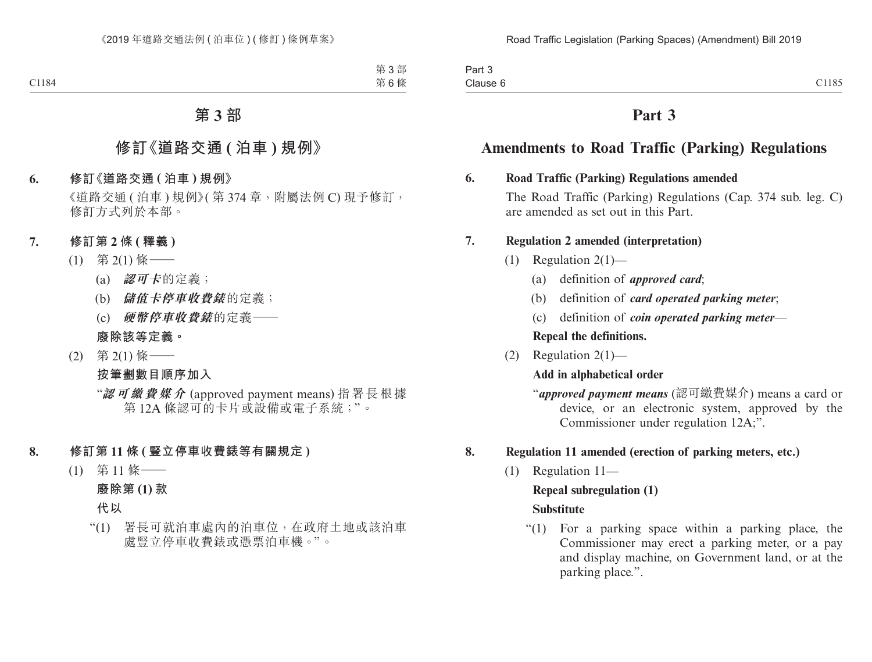| $\sim$<br>Part 3 |       |
|------------------|-------|
| Clause 6         | C1185 |

# **Part 3**

# **Amendments to Road Traffic (Parking) Regulations**

#### **6. Road Traffic (Parking) Regulations amended**

The Road Traffic (Parking) Regulations (Cap. 374 sub. leg. C) are amended as set out in this Part.

#### **7. Regulation 2 amended (interpretation)**

- (1) Regulation 2(1)—
	- (a) definition of *approved card*;
	- (b) definition of *card operated parking meter*;
	- (c) definition of *coin operated parking meter*—

**Repeal the definitions.**

(2) Regulation 2(1)—

## **Add in alphabetical order**

"*approved payment means* (認可繳費媒介) means a card or device, or an electronic system, approved by the Commissioner under regulation 12A;".

## **8. Regulation 11 amended (erection of parking meters, etc.)**

(1) Regulation 11—

#### **Repeal subregulation (1)**

#### **Substitute**

"(1) For a parking space within a parking place, the Commissioner may erect a parking meter, or a pay and display machine, on Government land, or at the parking place.".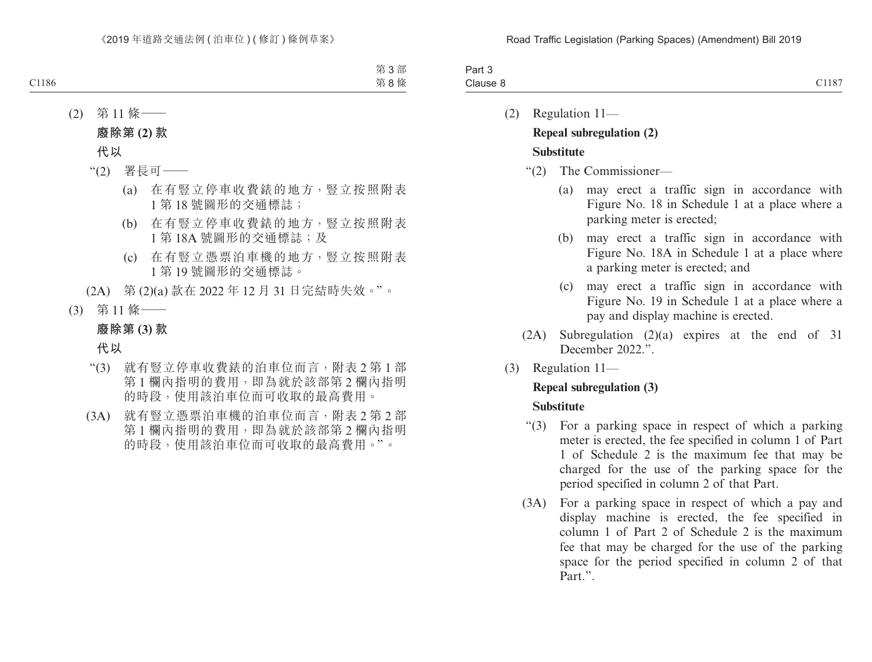| $\sim$<br>າ~~+<br>ail J |                                        |
|-------------------------|----------------------------------------|
| Clause                  | $\sim$ $\sim$ $\sim$<br>- 36<br>1107 - |

(2) Regulation 11—

# **Repeal subregulation (2)**

## **Substitute**

- "(2) The Commissioner—
	- (a) may erect a traffic sign in accordance with Figure No. 18 in Schedule 1 at a place where a parking meter is erected;
	- (b) may erect a traffic sign in accordance with Figure No. 18A in Schedule 1 at a place where a parking meter is erected; and
	- (c) may erect a traffic sign in accordance with Figure No. 19 in Schedule 1 at a place where a pay and display machine is erected.
- (2A) Subregulation (2)(a) expires at the end of 31 December 2022."
- (3) Regulation 11—

# **Repeal subregulation (3)**

#### **Substitute**

- "(3) For a parking space in respect of which a parking meter is erected, the fee specified in column 1 of Part 1 of Schedule 2 is the maximum fee that may be charged for the use of the parking space for the period specified in column 2 of that Part.
- (3A) For a parking space in respect of which a pay and display machine is erected, the fee specified in column 1 of Part 2 of Schedule 2 is the maximum fee that may be charged for the use of the parking space for the period specified in column 2 of that Part.".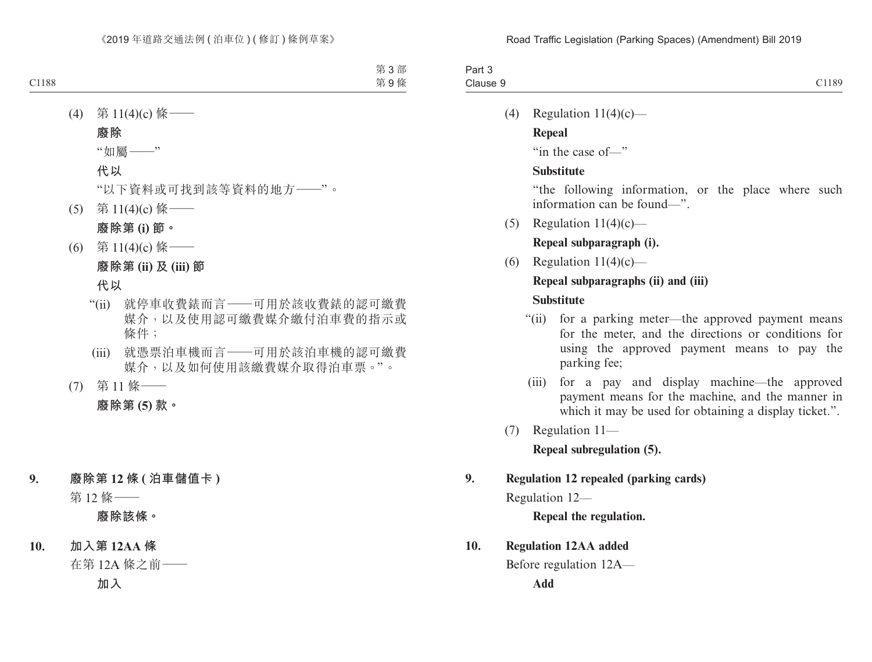| $\sim$<br>າ~~+<br>art ə |               |
|-------------------------|---------------|
| Clause                  | 01100<br>1189 |

(4) Regulation  $11(4)(c)$ —

#### **Repeal**

"in the case of—"

#### **Substitute**

"the following information, or the place where such information can be found—".

(5) Regulation  $11(4)(c)$ —

#### **Repeal subparagraph (i).**

(6) Regulation  $11(4)(c)$ —

## **Repeal subparagraphs (ii) and (iii)**

#### **Substitute**

- "(ii) for a parking meter—the approved payment means for the meter, and the directions or conditions for using the approved payment means to pay the parking fee;
- (iii) for a pay and display machine—the approved payment means for the machine, and the manner in which it may be used for obtaining a display ticket.".
- (7) Regulation 11—

**Repeal subregulation (5).**

#### **9. Regulation 12 repealed (parking cards)**

Regulation 12—

**Repeal the regulation.**

#### **10. Regulation 12AA added**

Before regulation 12A—

**Add**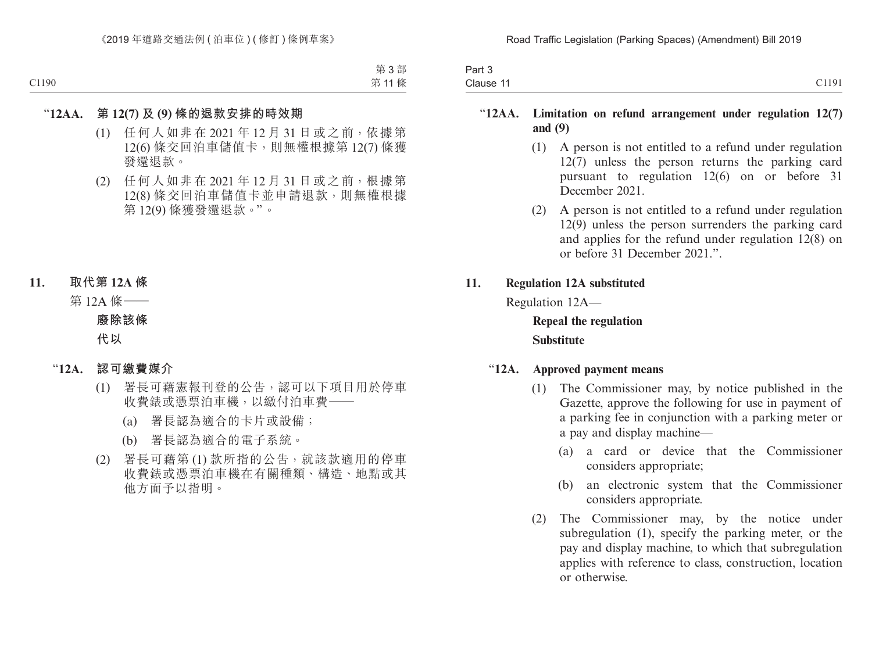| Part 3    |       |
|-----------|-------|
| Clause 11 | C1191 |

### "**12AA. Limitation on refund arrangement under regulation 12(7) and (9)**

- (1) A person is not entitled to a refund under regulation  $12(7)$  unless the person returns the parking card pursuant to regulation 12(6) on or before 31 December 2021
- (2) A person is not entitled to a refund under regulation 12(9) unless the person surrenders the parking card and applies for the refund under regulation 12(8) on or before 31 December 2021.".

#### **11. Regulation 12A substituted**

Regulation 12A—

**Repeal the regulation Substitute**

#### "**12A. Approved payment means**

- (1) The Commissioner may, by notice published in the Gazette, approve the following for use in payment of a parking fee in conjunction with a parking meter or a pay and display machine—
	- (a) a card or device that the Commissioner considers appropriate;
	- (b) an electronic system that the Commissioner considers appropriate.
- (2) The Commissioner may, by the notice under subregulation (1), specify the parking meter, or the pay and display machine, to which that subregulation applies with reference to class, construction, location or otherwise.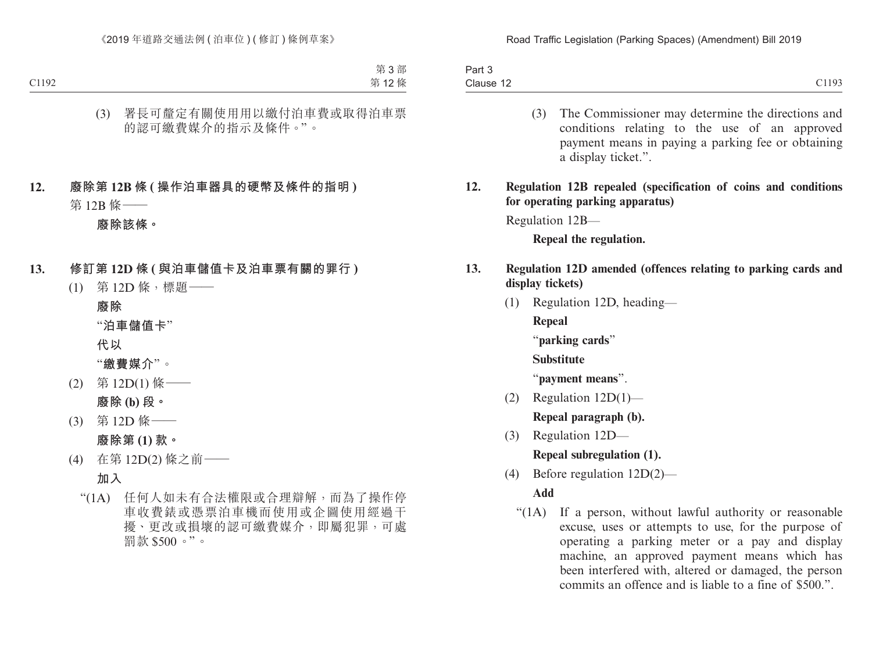| $. \,$<br><b>Fall</b><br>ັບ |                      |
|-----------------------------|----------------------|
| Clause 12                   | C1102<br>$\sim$ 11/2 |

- (3) The Commissioner may determine the directions and conditions relating to the use of an approved payment means in paying a parking fee or obtaining a display ticket.".
- **12. Regulation 12B repealed (specification of coins and conditions for operating parking apparatus)**

Regulation 12B—

**Repeal the regulation.**

## **13. Regulation 12D amended (offences relating to parking cards and display tickets)**

(1) Regulation 12D, heading—

**Repeal**

"**parking cards**"

#### **Substitute**

"**payment means**".

- (2) Regulation 12D(1)— **Repeal paragraph (b).**
- (3) Regulation 12D— **Repeal subregulation (1).**
- (4) Before regulation 12D(2)—

# **Add**

"(1A) If a person, without lawful authority or reasonable excuse, uses or attempts to use, for the purpose of operating a parking meter or a pay and display machine, an approved payment means which has been interfered with, altered or damaged, the person commits an offence and is liable to a fine of \$500.".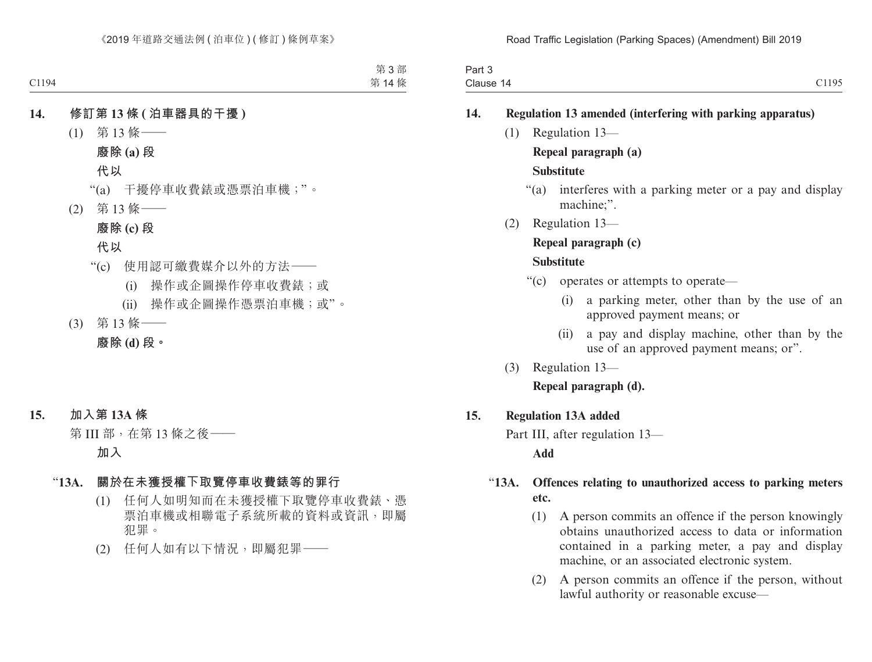| Part 3    |                       |
|-----------|-----------------------|
| Clause 14 | C1105<br><b>0.170</b> |

#### **14. Regulation 13 amended (interfering with parking apparatus)**

(1) Regulation 13—

#### **Repeal paragraph (a)**

#### **Substitute**

- "(a) interferes with a parking meter or a pay and display machine;".
- (2) Regulation 13—

### **Repeal paragraph (c)**

#### **Substitute**

- "(c) operates or attempts to operate—
	- (i) a parking meter, other than by the use of an approved payment means; or
	- (ii) a pay and display machine, other than by the use of an approved payment means; or".
- (3) Regulation 13—

#### **Repeal paragraph (d).**

#### **15. Regulation 13A added**

Part III, after regulation 13—

#### **Add**

## "**13A. Offences relating to unauthorized access to parking meters etc.**

- (1) A person commits an offence if the person knowingly obtains unauthorized access to data or information contained in a parking meter, a pay and display machine, or an associated electronic system.
- (2) A person commits an offence if the person, without lawful authority or reasonable excuse—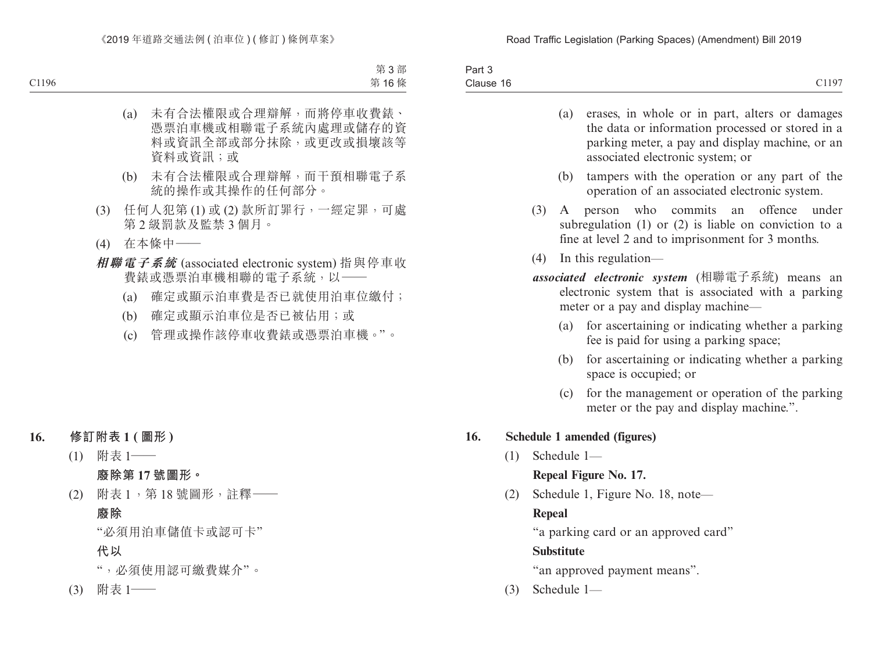| <b>STATES OF STREET</b><br>.3cm<br>-dil<br>. |                           |
|----------------------------------------------|---------------------------|
| $\sim$<br>Clause 16<br>---------             | 1107<br>--<br>$\sim$ 11/2 |

- (a) erases, in whole or in part, alters or damages the data or information processed or stored in a parking meter, a pay and display machine, or an associated electronic system; or
- (b) tampers with the operation or any part of the operation of an associated electronic system.
- (3) A person who commits an offence under subregulation (1) or (2) is liable on conviction to a fine at level 2 and to imprisonment for 3 months.
- (4) In this regulation—
- *associated electronic system* (相聯電子系統) means an electronic system that is associated with a parking meter or a pay and display machine—
	- (a) for ascertaining or indicating whether a parking fee is paid for using a parking space;
	- (b) for ascertaining or indicating whether a parking space is occupied; or
	- (c) for the management or operation of the parking meter or the pay and display machine.".

#### **16. Schedule 1 amended (figures)**

(1) Schedule 1—

**Repeal Figure No. 17.**

(2) Schedule 1, Figure No. 18, note—

#### **Repeal**

"a parking card or an approved card"

#### **Substitute**

"an approved payment means".

(3) Schedule 1—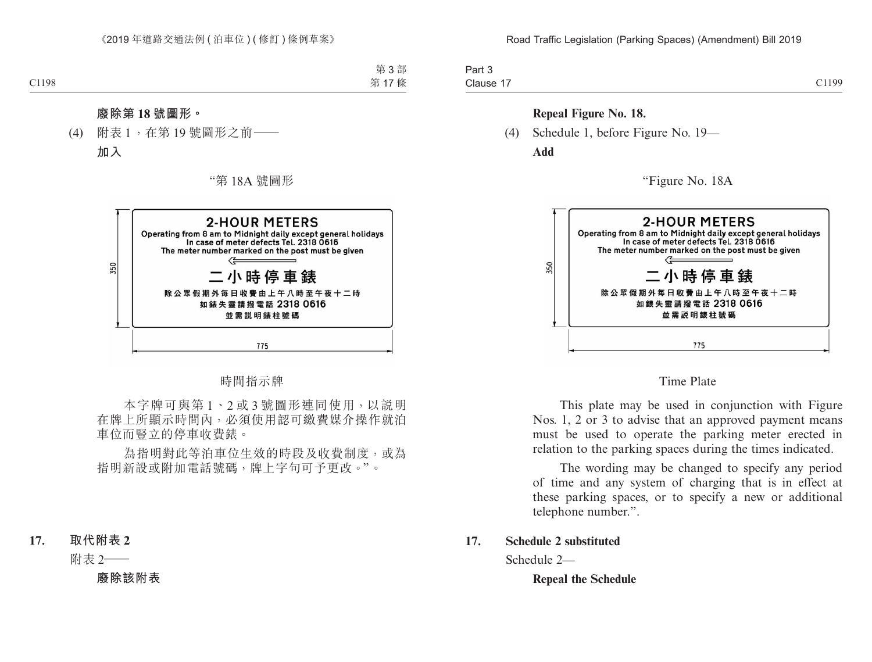| $.$ $.$<br>Fail .                              |                        |
|------------------------------------------------|------------------------|
| Clause<br>$\overline{\phantom{0}}$<br>$\cdots$ | $^{\circ}1100$<br>ー・・・ |

#### **Repeal Figure No. 18.**

(4) Schedule 1, before Figure No. 19— **Add**

"Figure No. 18A



Time Plate

This plate may be used in conjunction with Figure Nos. 1, 2 or 3 to advise that an approved payment means must be used to operate the parking meter erected in relation to the parking spaces during the times indicated.

The wording may be changed to specify any period of time and any system of charging that is in effect at these parking spaces, or to specify a new or additional telephone number.".

#### **17. Schedule 2 substituted**

Schedule 2—

**Repeal the Schedule**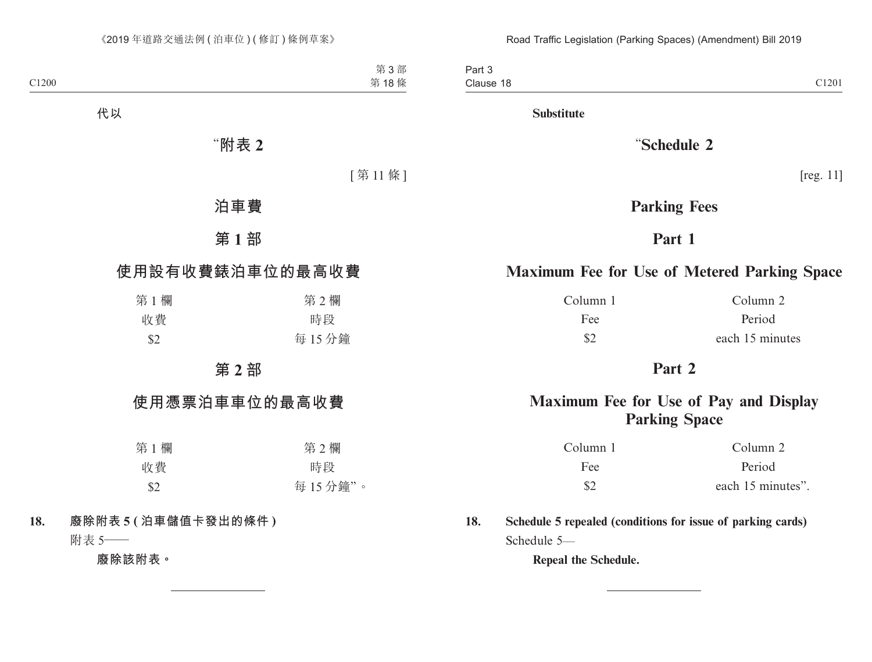Part 3 Clause 18 Clause 18 and 200 and 200 and 200 and 200 and 200 and 200 and 200 and 200 and 200 and 200 and 200 and 200 and 200 and 200 and 200 and 200 and 200 and 200 and 200 and 200 and 200 and 200 and 200 and 200 and 200 and 200 and

**Substitute**

"**Schedule 2**

[reg. 11]

# **Parking Fees**

# **Part 1**

# **Maximum Fee for Use of Metered Parking Space**

Column 1 Column 2

Fee Period \$2 each 15 minutes

# **Part 2**

# **Maximum Fee for Use of Pay and Display Parking Space**

| Column 1      | Column 2          |
|---------------|-------------------|
| Fee           | Period            |
| $\mathcal{S}$ | each 15 minutes". |

**18. Schedule 5 repealed (conditions for issue of parking cards)** Schedule 5—

**Repeal the Schedule.**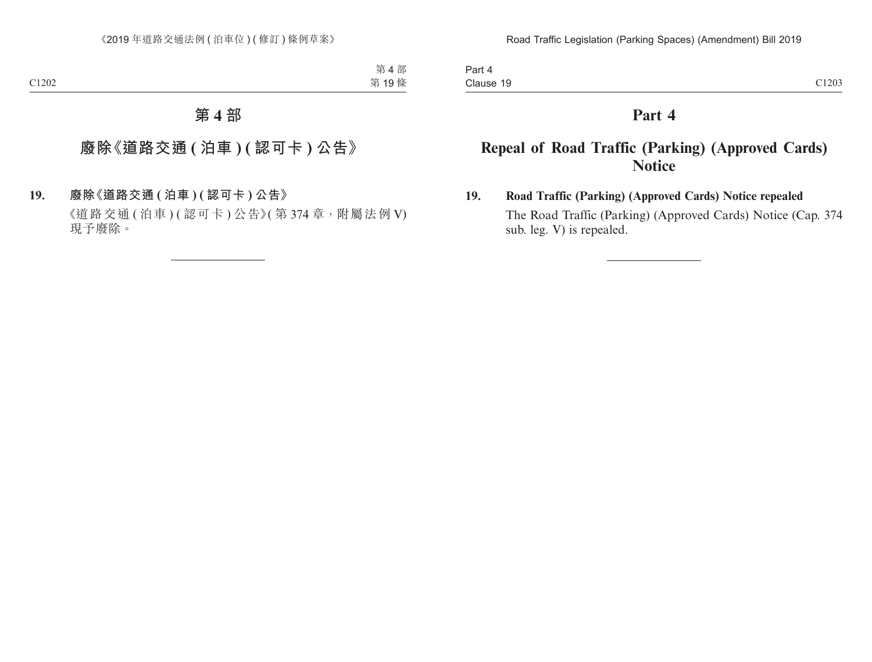# **Part 4**

# **Repeal of Road Traffic (Parking) (Approved Cards) Notice**

# **19. Road Traffic (Parking) (Approved Cards) Notice repealed**

The Road Traffic (Parking) (Approved Cards) Notice (Cap. 374 sub. leg. V) is repealed.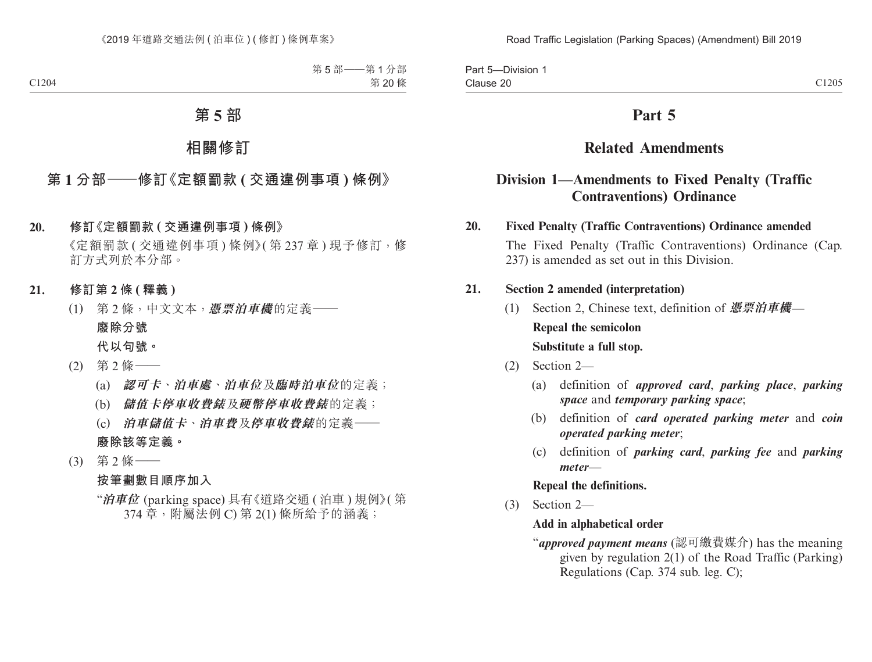| <b>Division</b><br>Part 5 |       |
|---------------------------|-------|
| $\sim$<br>Clause 20       | C1205 |

# **Part 5**

# **Related Amendments**

# **Division 1—Amendments to Fixed Penalty (Traffic Contraventions) Ordinance**

#### **20. Fixed Penalty (Traffic Contraventions) Ordinance amended**

The Fixed Penalty (Traffic Contraventions) Ordinance (Cap. 237) is amended as set out in this Division.

#### **21. Section 2 amended (interpretation)**

- (1) Section 2, Chinese text, definition of **憑票泊車機 Repeal the semicolon Substitute a full stop.**
- (2) Section 2—
	- (a) definition of *approved card*, *parking place*, *parking space* and *temporary parking space*;
	- (b) definition of *card operated parking meter* and *coin operated parking meter*;
	- (c) definition of *parking card*, *parking fee* and *parking meter*—

#### **Repeal the definitions.**

(3) Section 2—

#### **Add in alphabetical order**

"*approved payment means* (認可繳費媒介) has the meaning given by regulation 2(1) of the Road Traffic (Parking) Regulations (Cap. 374 sub. leg. C);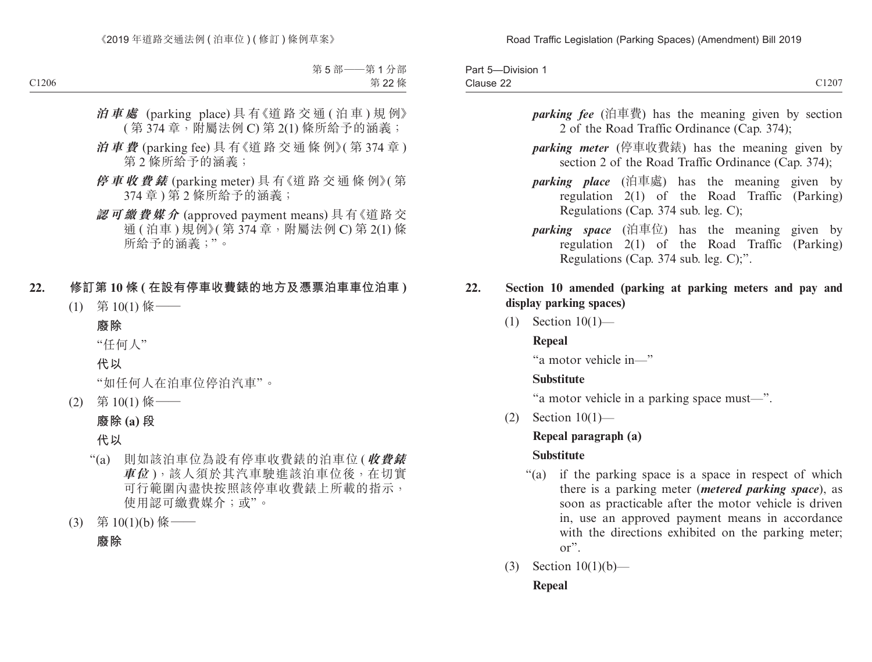| <b>Jivision</b><br>-di                       |       |
|----------------------------------------------|-------|
| $\sim$<br>$\sim$<br>$\sim$ $ -$<br>Clause ∠∠ | C1207 |

- *parking fee* (泊車費) has the meaning given by section 2 of the Road Traffic Ordinance (Cap. 374);
- *parking meter* (停車收費錶) has the meaning given by section 2 of the Road Traffic Ordinance (Cap. 374);
- *parking place* (泊車處) has the meaning given by regulation 2(1) of the Road Traffic (Parking) Regulations (Cap. 374 sub. leg. C);
- *parking space* (泊車位) has the meaning given by regulation 2(1) of the Road Traffic (Parking) Regulations (Cap. 374 sub. leg. C);".

### **22. Section 10 amended (parking at parking meters and pay and display parking spaces)**

(1) Section 10(1)—

#### **Repeal**

"a motor vehicle in—"

#### **Substitute**

"a motor vehicle in a parking space must—".

(2) Section 10(1)—

## **Repeal paragraph (a)**

#### **Substitute**

- "(a) if the parking space is a space in respect of which there is a parking meter (*metered parking space*), as soon as practicable after the motor vehicle is driven in, use an approved payment means in accordance with the directions exhibited on the parking meter; or".
- (3) Section 10(1)(b)— **Repeal**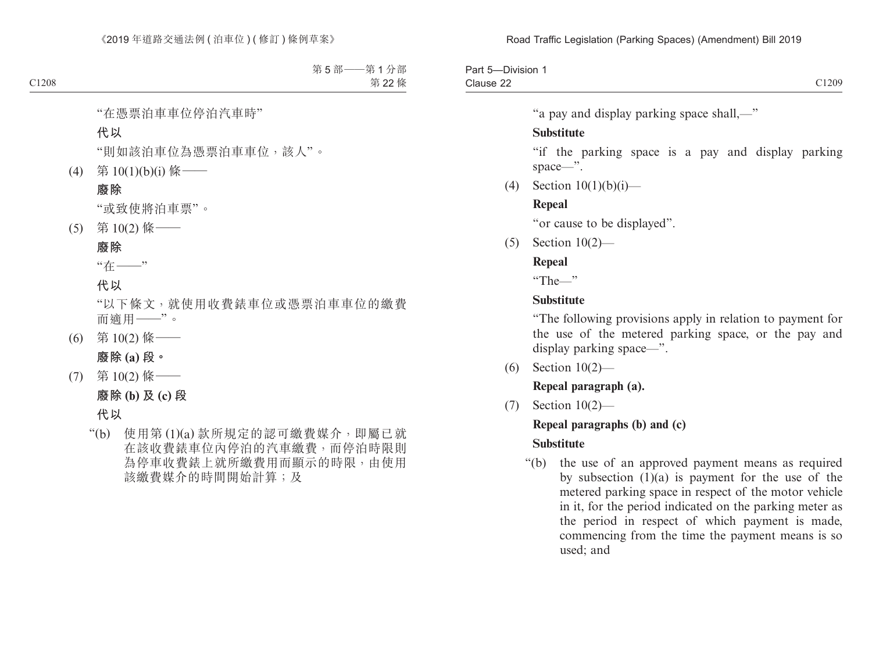```
Part 5—Division 1
                    Clause 22
Clause 22 C1209
```
"a pay and display parking space shall,—"

#### **Substitute**

"if the parking space is a pay and display parking space—".

(4) Section  $10(1)(b)(i)$ —

#### **Repeal**

"or cause to be displayed".

(5) Section 10(2)—

## **Repeal**

"The—"

### **Substitute**

"The following provisions apply in relation to payment for the use of the metered parking space, or the pay and display parking space—".

(6) Section 10(2)—

**Repeal paragraph (a).**

(7) Section 10(2)—

#### **Repeal paragraphs (b) and (c)**

## **Substitute**

"(b) the use of an approved payment means as required by subsection (1)(a) is payment for the use of the metered parking space in respect of the motor vehicle in it, for the period indicated on the parking meter as the period in respect of which payment is made, commencing from the time the payment means is so used; and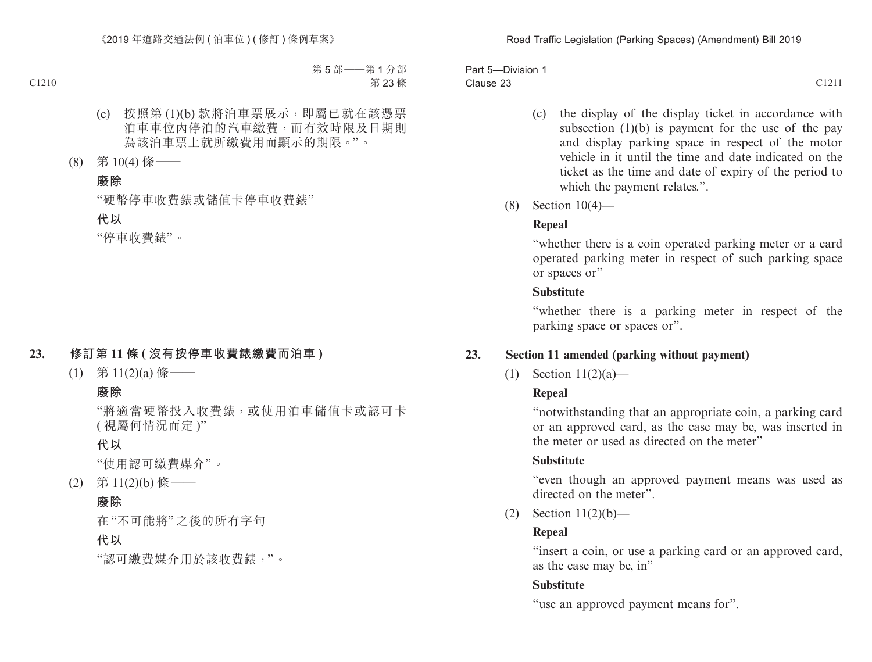| -Division<br>Part 5-<br>$\sim$ |                                         |
|--------------------------------|-----------------------------------------|
| Clause 23<br>.                 | $\bigcap$ 1 $\bigcap$ 1 1<br>`∠ ⊥ ∠ ⊥ ⊥ |

- (c) the display of the display ticket in accordance with subsection (1)(b) is payment for the use of the pay and display parking space in respect of the motor vehicle in it until the time and date indicated on the ticket as the time and date of expiry of the period to which the payment relates.".
- (8) Section 10(4)—

## **Repeal**

"whether there is a coin operated parking meter or a card operated parking meter in respect of such parking space or spaces or"

### **Substitute**

"whether there is a parking meter in respect of the parking space or spaces or".

# **23. Section 11 amended (parking without payment)**

(1) Section 11(2)(a)—

# **Repeal**

"notwithstanding that an appropriate coin, a parking card or an approved card, as the case may be, was inserted in the meter or used as directed on the meter"

## **Substitute**

"even though an approved payment means was used as directed on the meter".

(2) Section 11(2)(b)—

# **Repeal**

"insert a coin, or use a parking card or an approved card, as the case may be, in"

## **Substitute**

"use an approved payment means for".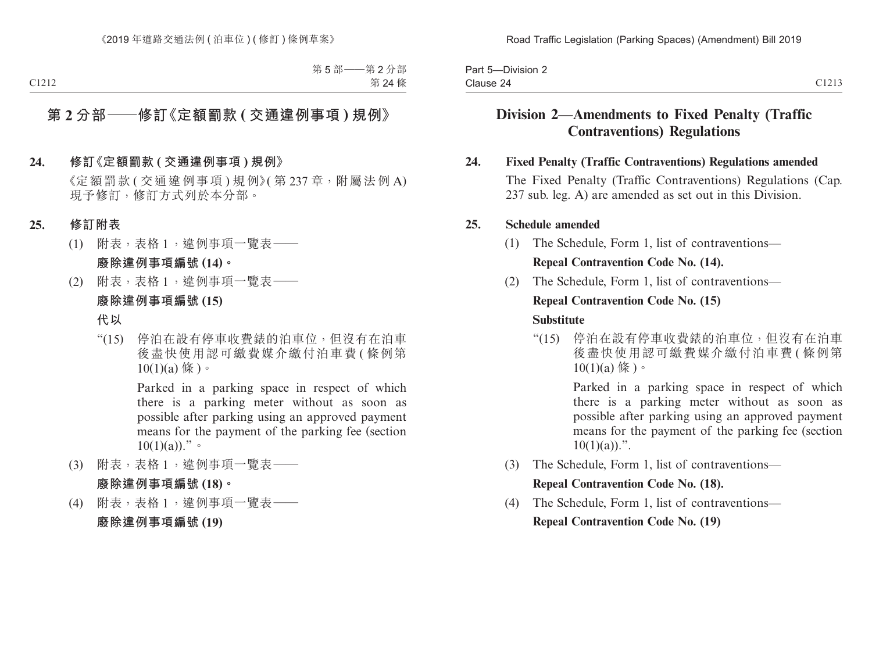| -Division 2<br>Part 5                  |                |
|----------------------------------------|----------------|
| $\overline{\phantom{a}}$<br>Clause 24. | $\bigcap$ 1010 |

# **Division 2—Amendments to Fixed Penalty (Traffic Contraventions) Regulations**

#### **24. Fixed Penalty (Traffic Contraventions) Regulations amended**

The Fixed Penalty (Traffic Contraventions) Regulations (Cap. 237 sub. leg. A) are amended as set out in this Division.

#### **25. Schedule amended**

(1) The Schedule, Form 1, list of contraventions—

#### **Repeal Contravention Code No. (14).**

(2) The Schedule, Form 1, list of contraventions—

#### **Repeal Contravention Code No. (15)**

#### **Substitute**

"(15) 停泊在設有停車收費錶的泊車位,但沒有在泊車 後盡快使用認可繳費媒介繳付泊車費 (條例第  $10(1)(a)$  條 )。

> Parked in a parking space in respect of which there is a parking meter without as soon as possible after parking using an approved payment means for the payment of the parking fee (section  $10(1)(a)$ .".

- (3) The Schedule, Form 1, list of contraventions— **Repeal Contravention Code No. (18).**
- (4) The Schedule, Form 1, list of contraventions— **Repeal Contravention Code No. (19)**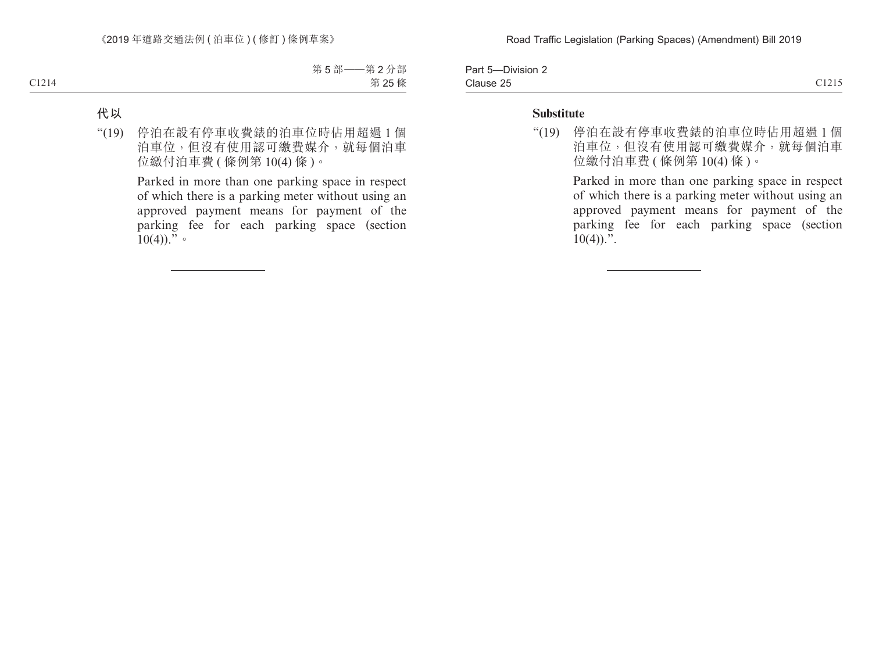| $- \cdot$ $- \cdot$<br>Darth based on the set of the set of the set of the set of the set of the set of the set of the set of the set of the set of the set of the set of the set of the set of the set of the set of the set of the set of the set o<br>-Division 2<br>⊺a⊪t ∪ |                          |
|--------------------------------------------------------------------------------------------------------------------------------------------------------------------------------------------------------------------------------------------------------------------------------|--------------------------|
| $\sim$<br>$\sim$ $\sim$<br>Clause 25<br>--------                                                                                                                                                                                                                               | C1215<br>`` <i>`````</i> |

#### **Substitute**

"(19) 停泊在設有停車收費錶的泊車位時佔用超過 1 個 泊車位,但沒有使用認可繳費媒介,就每個泊車 位繳付泊車費 ( 條例第 10(4) 條 )。

> Parked in more than one parking space in respect of which there is a parking meter without using an approved payment means for payment of the parking fee for each parking space (section  $10(4)$ .".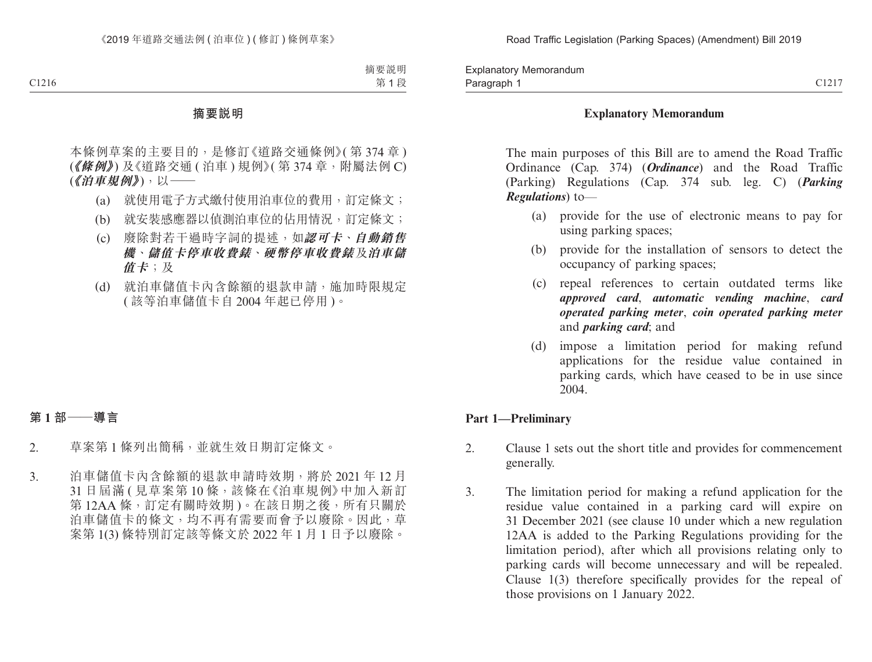#### **Explanatory Memorandum**

The main purposes of this Bill are to amend the Road Traffic Ordinance (Cap. 374) (*Ordinance*) and the Road Traffic (Parking) Regulations (Cap. 374 sub. leg. C) (*Parking Regulations*) to—

- (a) provide for the use of electronic means to pay for using parking spaces;
- (b) provide for the installation of sensors to detect the occupancy of parking spaces;
- (c) repeal references to certain outdated terms like *approved card*, *automatic vending machine*, *card operated parking meter*, *coin operated parking meter*  and *parking card*; and
- (d) impose a limitation period for making refund applications for the residue value contained in parking cards, which have ceased to be in use since 2004.

#### **Part 1—Preliminary**

- 2. Clause 1 sets out the short title and provides for commencement generally.
- 3. The limitation period for making a refund application for the residue value contained in a parking card will expire on 31 December 2021 (see clause 10 under which a new regulation 12AA is added to the Parking Regulations providing for the limitation period), after which all provisions relating only to parking cards will become unnecessary and will be repealed. Clause 1(3) therefore specifically provides for the repeal of those provisions on 1 January 2022.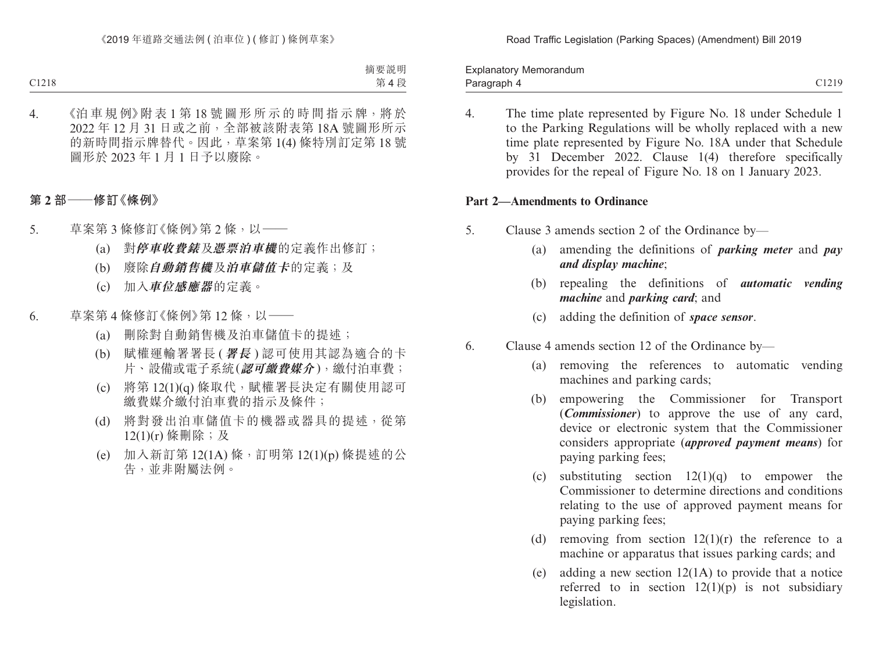Paragraph 4 and 2012 C1219 Explanatory Memorandum Paragraph 4

- 
- 4. The time plate represented by Figure No. 18 under Schedule 1 to the Parking Regulations will be wholly replaced with a new time plate represented by Figure No. 18A under that Schedule by 31 December 2022. Clause 1(4) therefore specifically provides for the repeal of Figure No. 18 on 1 January 2023.

#### **Part 2—Amendments to Ordinance**

- 5. Clause 3 amends section 2 of the Ordinance by—
	- (a) amending the definitions of *parking meter* and *pay and display machine*;
	- (b) repealing the definitions of *automatic vending machine* and *parking card*; and
	- (c) adding the definition of *space sensor*.
- 6. Clause 4 amends section 12 of the Ordinance by—
	- (a) removing the references to automatic vending machines and parking cards;
	- (b) empowering the Commissioner for Transport (*Commissioner*) to approve the use of any card, device or electronic system that the Commissioner considers appropriate (*approved payment means*) for paying parking fees;
	- (c) substituting section  $12(1)(q)$  to empower the Commissioner to determine directions and conditions relating to the use of approved payment means for paying parking fees;
	- (d) removing from section  $12(1)(r)$  the reference to a machine or apparatus that issues parking cards; and
	- (e) adding a new section 12(1A) to provide that a notice referred to in section  $12(1)(p)$  is not subsidiary legislation.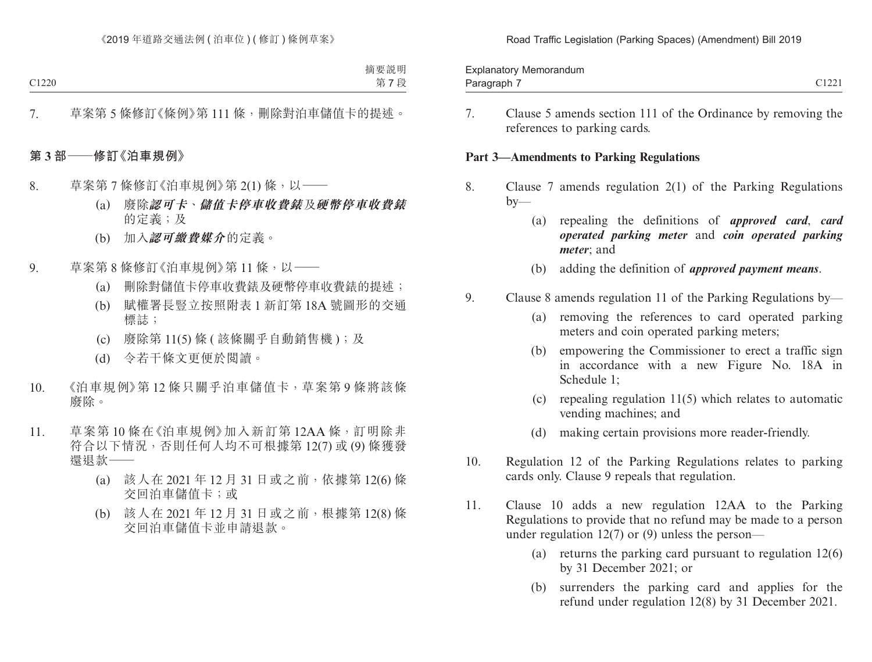Road Traffic Legislation ( Parking Spaces) ( Amendment) Bill 2019

| Explanatory Memorandum                                                                                                                                                                                                                      |                    |
|---------------------------------------------------------------------------------------------------------------------------------------------------------------------------------------------------------------------------------------------|--------------------|
| and the contract of the contract of the contract of the contract of the contract of the contract of the contract of the contract of the contract of the contract of the contract of the contract of the contract of the contra<br>Paragraph | (122)<br>- - - - - |

7. Clause 5 amends section 111 of the Ordinance by removing the references to parking cards.

#### **Part 3—Amendments to Parking Regulations**

- 8. Clause 7 amends regulation 2(1) of the Parking Regulations  $by-$ 
	- (a) repealing the definitions of *approved card*, *card operated parking meter* and *coin operated parking meter*; and
	- (b) adding the definition of *approved payment means*.
- 9. Clause 8 amends regulation 11 of the Parking Regulations by—
	- (a) removing the references to card operated parking meters and coin operated parking meters;
	- (b) empowering the Commissioner to erect a traffic sign in accordance with a new Figure No. 18A in Schedule 1;
	- (c) repealing regulation 11(5) which relates to automatic vending machines; and
	- (d) making certain provisions more reader-friendly.
- 10. Regulation 12 of the Parking Regulations relates to parking cards only. Clause 9 repeals that regulation.
- 11. Clause 10 adds a new regulation 12AA to the Parking Regulations to provide that no refund may be made to a person under regulation  $12(7)$  or (9) unless the person—
	- (a) returns the parking card pursuant to regulation 12(6) by 31 December 2021; or
	- (b) surrenders the parking card and applies for the refund under regulation 12(8) by 31 December 2021.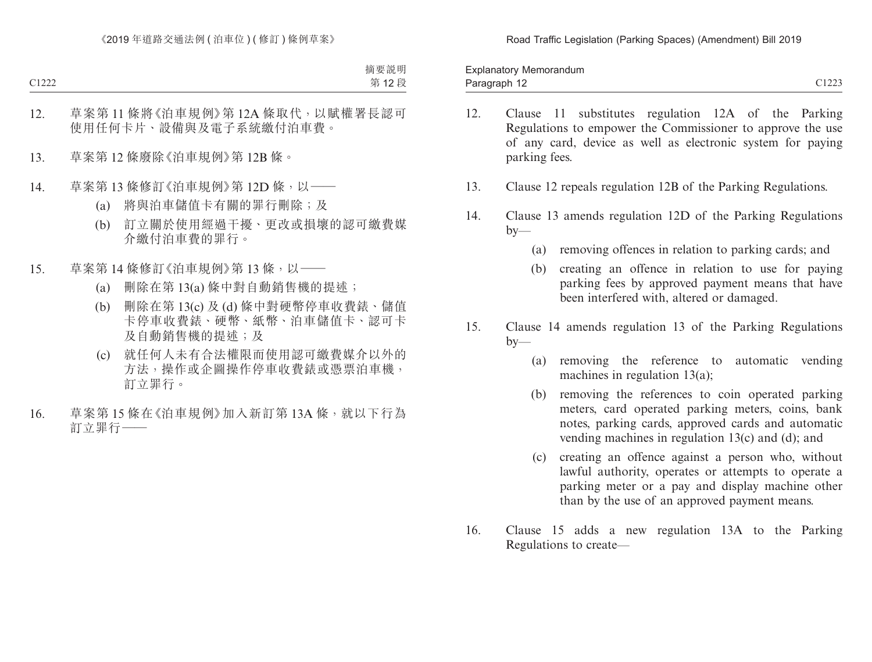Paragraph 12 and 2012 and 2012 and 2012 and 2012 and 2012 and 2012 and 2012 and 2012 and 2012 and 2012 and 201 Explanatory Memorandum Paragraph 12

- 12. Clause 11 substitutes regulation 12A of the Parking Regulations to empower the Commissioner to approve the use of any card, device as well as electronic system for paying parking fees.
- 13. Clause 12 repeals regulation 12B of the Parking Regulations.
- 14. Clause 13 amends regulation 12D of the Parking Regulations  $by-$ 
	- (a) removing offences in relation to parking cards; and
	- (b) creating an offence in relation to use for paying parking fees by approved payment means that have been interfered with, altered or damaged.
- 15. Clause 14 amends regulation 13 of the Parking Regulations  $by-$ 
	- (a) removing the reference to automatic vending machines in regulation 13(a);
	- (b) removing the references to coin operated parking meters, card operated parking meters, coins, bank notes, parking cards, approved cards and automatic vending machines in regulation 13(c) and (d); and
	- (c) creating an offence against a person who, without lawful authority, operates or attempts to operate a parking meter or a pay and display machine other than by the use of an approved payment means.
- 16. Clause 15 adds a new regulation 13A to the Parking Regulations to create—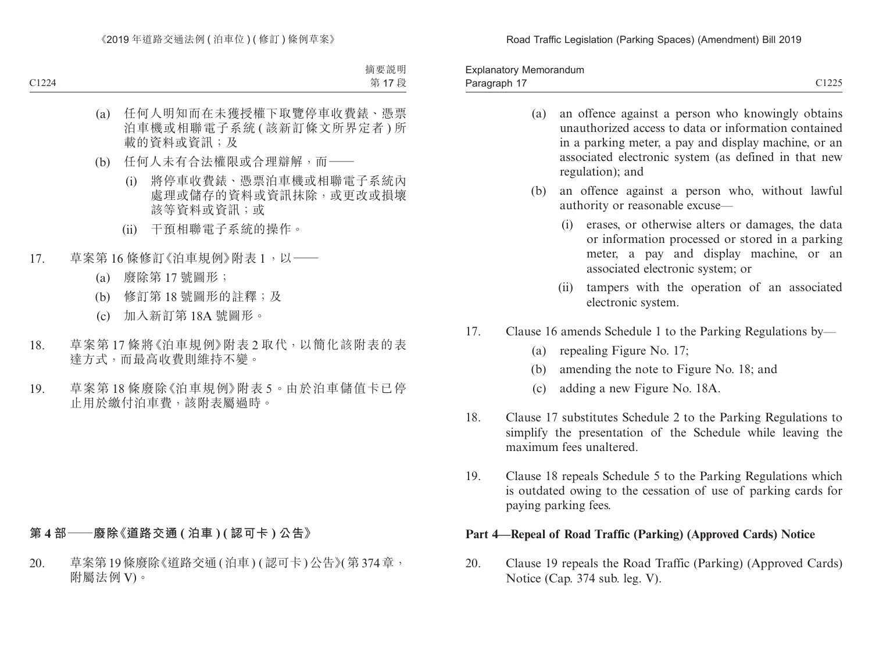Road Traffic Legislation ( Parking Spaces) ( Amendment) Bill 2019

Paragraph 17 and 2012 C1225 Explanatory Memorandum Paragraph 17

- (a) an offence against a person who knowingly obtains unauthorized access to data or information contained in a parking meter, a pay and display machine, or an associated electronic system (as defined in that new regulation); and
- (b) an offence against a person who, without lawful authority or reasonable excuse—
	- (i) erases, or otherwise alters or damages, the data or information processed or stored in a parking meter, a pay and display machine, or an associated electronic system; or
	- (ii) tampers with the operation of an associated electronic system.
- 17. Clause 16 amends Schedule 1 to the Parking Regulations by—
	- (a) repealing Figure No. 17;
	- (b) amending the note to Figure No. 18; and
	- (c) adding a new Figure No. 18A.
- 18. Clause 17 substitutes Schedule 2 to the Parking Regulations to simplify the presentation of the Schedule while leaving the maximum fees unaltered.
- 19. Clause 18 repeals Schedule 5 to the Parking Regulations which is outdated owing to the cessation of use of parking cards for paying parking fees.

#### **Part 4—Repeal of Road Traffic (Parking) (Approved Cards) Notice**

20. Clause 19 repeals the Road Traffic (Parking) (Approved Cards) Notice (Cap. 374 sub. leg. V).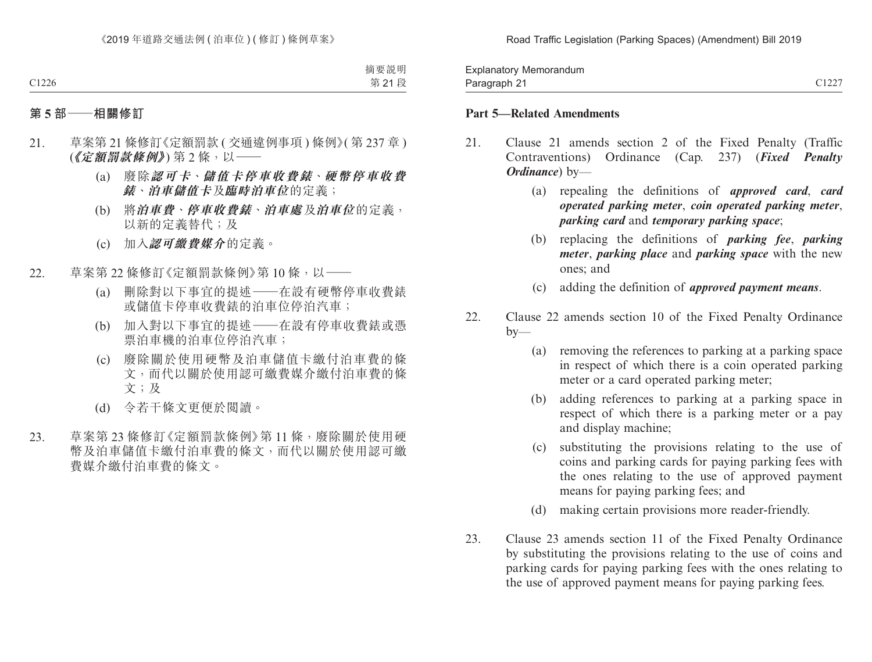| –<br>Explanatory Memorandum |                |
|-----------------------------|----------------|
| ິ<br>Paragraph $\sim$<br>ີ  | C1227<br>- 122 |

#### **Part 5—Related Amendments**

- 21. Clause 21 amends section 2 of the Fixed Penalty (Traffic Contraventions) Ordinance (Cap. 237) (*Fixed Penalty Ordinance*) by—
	- (a) repealing the definitions of *approved card*, *card operated parking meter*, *coin operated parking meter*, *parking card* and *temporary parking space*;
	- (b) replacing the definitions of *parking fee*, *parking meter*, *parking place* and *parking space* with the new ones; and
	- (c) adding the definition of *approved payment means*.
- 22. Clause 22 amends section 10 of the Fixed Penalty Ordinance  $by-$ 
	- (a) removing the references to parking at a parking space in respect of which there is a coin operated parking meter or a card operated parking meter;
	- (b) adding references to parking at a parking space in respect of which there is a parking meter or a pay and display machine;
	- (c) substituting the provisions relating to the use of coins and parking cards for paying parking fees with the ones relating to the use of approved payment means for paying parking fees; and
	- (d) making certain provisions more reader-friendly.
- 23. Clause 23 amends section 11 of the Fixed Penalty Ordinance by substituting the provisions relating to the use of coins and parking cards for paying parking fees with the ones relating to the use of approved payment means for paying parking fees.